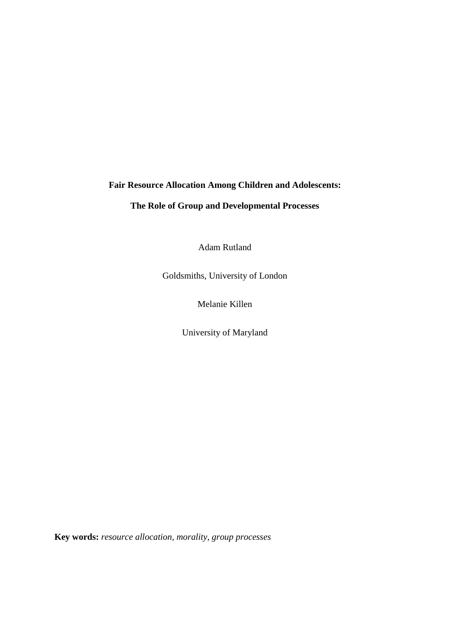## **Fair Resource Allocation Among Children and Adolescents:**

# **The Role of Group and Developmental Processes**

Adam Rutland

Goldsmiths, University of London

Melanie Killen

University of Maryland

**Key words:** *resource allocation, morality, group processes*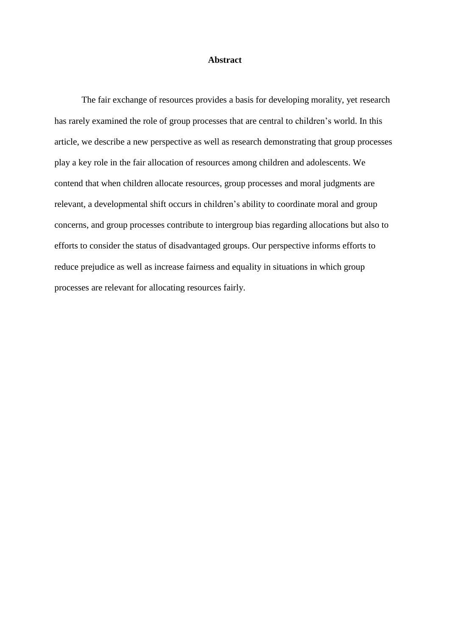### **Abstract**

The fair exchange of resources provides a basis for developing morality, yet research has rarely examined the role of group processes that are central to children's world. In this article, we describe a new perspective as well as research demonstrating that group processes play a key role in the fair allocation of resources among children and adolescents. We contend that when children allocate resources, group processes and moral judgments are relevant, a developmental shift occurs in children's ability to coordinate moral and group concerns, and group processes contribute to intergroup bias regarding allocations but also to efforts to consider the status of disadvantaged groups. Our perspective informs efforts to reduce prejudice as well as increase fairness and equality in situations in which group processes are relevant for allocating resources fairly.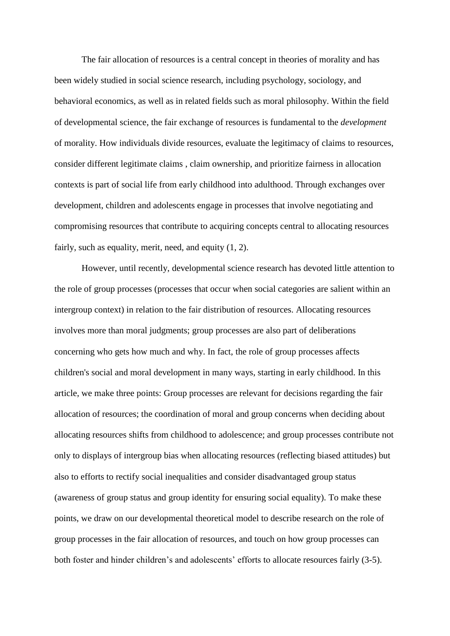The fair allocation of resources is a central concept in theories of morality and has been widely studied in social science research, including psychology, sociology, and behavioral economics, as well as in related fields such as moral philosophy. Within the field of developmental science, the fair exchange of resources is fundamental to the *development* of morality. How individuals divide resources, evaluate the legitimacy of claims to resources, consider different legitimate claims , claim ownership, and prioritize fairness in allocation contexts is part of social life from early childhood into adulthood. Through exchanges over development, children and adolescents engage in processes that involve negotiating and compromising resources that contribute to acquiring concepts central to allocating resources fairly, such as equality, merit, need, and equity [\(1,](#page-14-0) [2\)](#page-14-1).

However, until recently, developmental science research has devoted little attention to the role of group processes (processes that occur when social categories are salient within an intergroup context) in relation to the fair distribution of resources. Allocating resources involves more than moral judgments; group processes are also part of deliberations concerning who gets how much and why. In fact, the role of group processes affects children's social and moral development in many ways, starting in early childhood. In this article, we make three points: Group processes are relevant for decisions regarding the fair allocation of resources; the coordination of moral and group concerns when deciding about allocating resources shifts from childhood to adolescence; and group processes contribute not only to displays of intergroup bias when allocating resources (reflecting biased attitudes) but also to efforts to rectify social inequalities and consider disadvantaged group status (awareness of group status and group identity for ensuring social equality). To make these points, we draw on our developmental theoretical model to describe research on the role of group processes in the fair allocation of resources, and touch on how group processes can both foster and hinder children's and adolescents' efforts to allocate resources fairly [\(3-5\)](#page-14-2).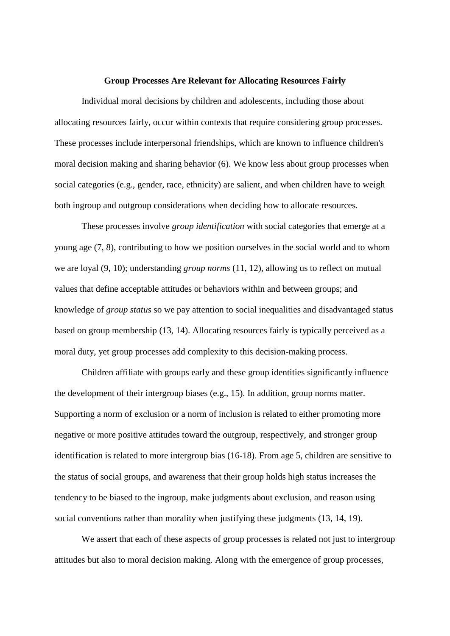#### **Group Processes Are Relevant for Allocating Resources Fairly**

Individual moral decisions by children and adolescents, including those about allocating resources fairly, occur within contexts that require considering group processes. These processes include interpersonal friendships, which are known to influence children's moral decision making and sharing behavior [\(6\)](#page-14-3). We know less about group processes when social categories (e.g., gender, race, ethnicity) are salient, and when children have to weigh both ingroup and outgroup considerations when deciding how to allocate resources.

These processes involve *group identification* with social categories that emerge at a young age [\(7,](#page-14-4) [8\)](#page-14-5), contributing to how we position ourselves in the social world and to whom we are loyal [\(9,](#page-15-0) [10\)](#page-15-1); understanding *group norms* [\(11,](#page-15-2) [12\)](#page-15-3), allowing us to reflect on mutual values that define acceptable attitudes or behaviors within and between groups; and knowledge of *group status* so we pay attention to social inequalities and disadvantaged status based on group membership [\(13,](#page-15-4) [14\)](#page-15-5). Allocating resources fairly is typically perceived as a moral duty, yet group processes add complexity to this decision-making process.

Children affiliate with groups early and these group identities significantly influence the development of their intergroup biases [\(e.g., 15\)](#page-15-6). In addition, group norms matter. Supporting a norm of exclusion or a norm of inclusion is related to either promoting more negative or more positive attitudes toward the outgroup, respectively, and stronger group identification is related to more intergroup bias [\(16-18\)](#page-16-0). From age 5, children are sensitive to the status of social groups, and awareness that their group holds high status increases the tendency to be biased to the ingroup, make judgments about exclusion, and reason using social conventions rather than morality when justifying these judgments [\(13,](#page-15-4) [14,](#page-15-5) [19\)](#page-16-1).

We assert that each of these aspects of group processes is related not just to intergroup attitudes but also to moral decision making. Along with the emergence of group processes,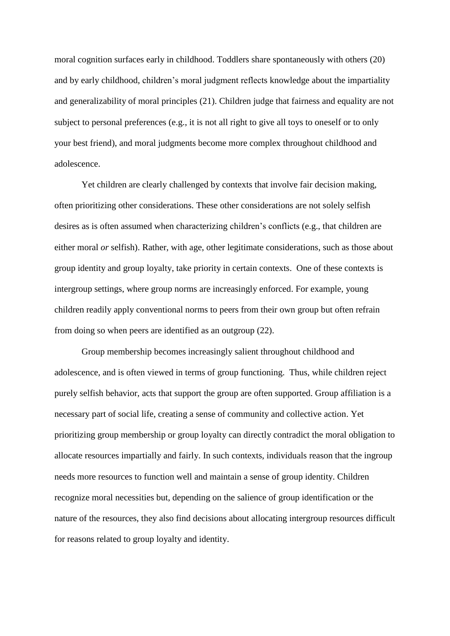moral cognition surfaces early in childhood. Toddlers share spontaneously with others [\(20\)](#page-16-2) and by early childhood, children's moral judgment reflects knowledge about the impartiality and generalizability of moral principles [\(21\)](#page-16-3). Children judge that fairness and equality are not subject to personal preferences (e.g., it is not all right to give all toys to oneself or to only your best friend), and moral judgments become more complex throughout childhood and adolescence.

Yet children are clearly challenged by contexts that involve fair decision making, often prioritizing other considerations. These other considerations are not solely selfish desires as is often assumed when characterizing children's conflicts (e.g., that children are either moral *or* selfish). Rather, with age, other legitimate considerations, such as those about group identity and group loyalty, take priority in certain contexts. One of these contexts is intergroup settings, where group norms are increasingly enforced. For example, young children readily apply conventional norms to peers from their own group but often refrain from doing so when peers are identified as an outgroup [\(22\)](#page-16-4).

Group membership becomes increasingly salient throughout childhood and adolescence, and is often viewed in terms of group functioning. Thus, while children reject purely selfish behavior, acts that support the group are often supported. Group affiliation is a necessary part of social life, creating a sense of community and collective action. Yet prioritizing group membership or group loyalty can directly contradict the moral obligation to allocate resources impartially and fairly. In such contexts, individuals reason that the ingroup needs more resources to function well and maintain a sense of group identity. Children recognize moral necessities but, depending on the salience of group identification or the nature of the resources, they also find decisions about allocating intergroup resources difficult for reasons related to group loyalty and identity.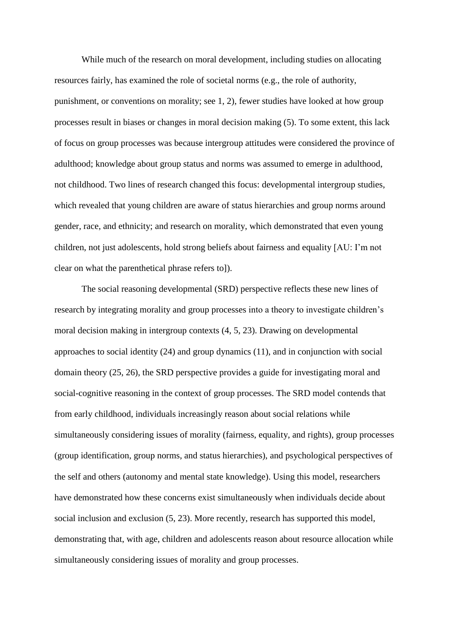While much of the research on moral development, including studies on allocating resources fairly, has examined the role of societal norms (e.g., the role of authority, punishment, or conventions on morality; see [1,](#page-14-0) [2\)](#page-14-1), fewer studies have looked at how group processes result in biases or changes in moral decision making [\(5\)](#page-14-6). To some extent, this lack of focus on group processes was because intergroup attitudes were considered the province of adulthood; knowledge about group status and norms was assumed to emerge in adulthood, not childhood. Two lines of research changed this focus: developmental intergroup studies, which revealed that young children are aware of status hierarchies and group norms around gender, race, and ethnicity; and research on morality, which demonstrated that even young children, not just adolescents, hold strong beliefs about fairness and equality [AU: I'm not clear on what the parenthetical phrase refers to]).

The social reasoning developmental (SRD) perspective reflects these new lines of research by integrating morality and group processes into a theory to investigate children's moral decision making in intergroup contexts [\(4,](#page-14-7) [5,](#page-14-6) [23\)](#page-16-5). Drawing on developmental approaches to social identity [\(24\)](#page-17-0) and group dynamics [\(11\)](#page-15-2), and in conjunction with social domain theory [\(25,](#page-17-1) [26\)](#page-17-2), the SRD perspective provides a guide for investigating moral and social-cognitive reasoning in the context of group processes. The SRD model contends that from early childhood, individuals increasingly reason about social relations while simultaneously considering issues of morality (fairness, equality, and rights), group processes (group identification, group norms, and status hierarchies), and psychological perspectives of the self and others (autonomy and mental state knowledge). Using this model, researchers have demonstrated how these concerns exist simultaneously when individuals decide about social inclusion and exclusion [\(5,](#page-14-6) [23\)](#page-16-5). More recently, research has supported this model, demonstrating that, with age, children and adolescents reason about resource allocation while simultaneously considering issues of morality and group processes.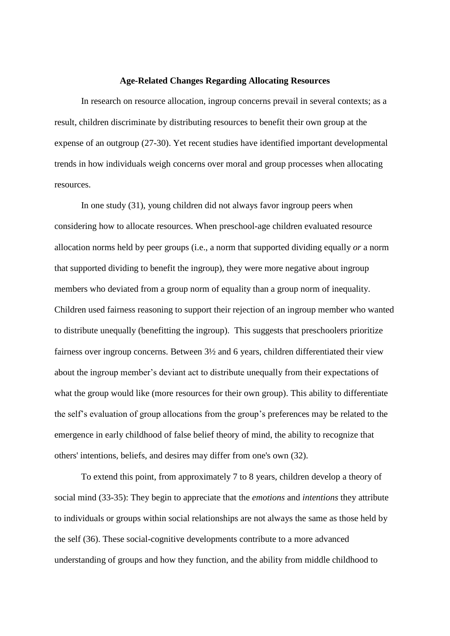#### **Age-Related Changes Regarding Allocating Resources**

In research on resource allocation, ingroup concerns prevail in several contexts; as a result, children discriminate by distributing resources to benefit their own group at the expense of an outgroup [\(27-30\)](#page-17-3). Yet recent studies have identified important developmental trends in how individuals weigh concerns over moral and group processes when allocating resources.

In one study [\(31\)](#page-17-4), young children did not always favor ingroup peers when considering how to allocate resources. When preschool-age children evaluated resource allocation norms held by peer groups (i.e., a norm that supported dividing equally *or* a norm that supported dividing to benefit the ingroup), they were more negative about ingroup members who deviated from a group norm of equality than a group norm of inequality. Children used fairness reasoning to support their rejection of an ingroup member who wanted to distribute unequally (benefitting the ingroup). This suggests that preschoolers prioritize fairness over ingroup concerns. Between 3½ and 6 years, children differentiated their view about the ingroup member's deviant act to distribute unequally from their expectations of what the group would like (more resources for their own group). This ability to differentiate the self's evaluation of group allocations from the group's preferences may be related to the emergence in early childhood of false belief theory of mind, the ability to recognize that others' intentions, beliefs, and desires may differ from one's own [\(32\)](#page-18-0).

To extend this point, from approximately 7 to 8 years, children develop a theory of social mind [\(33-35\)](#page-18-1): They begin to appreciate that the *emotions* and *intentions* they attribute to individuals or groups within social relationships are not always the same as those held by the self [\(36\)](#page-18-2). These social-cognitive developments contribute to a more advanced understanding of groups and how they function, and the ability from middle childhood to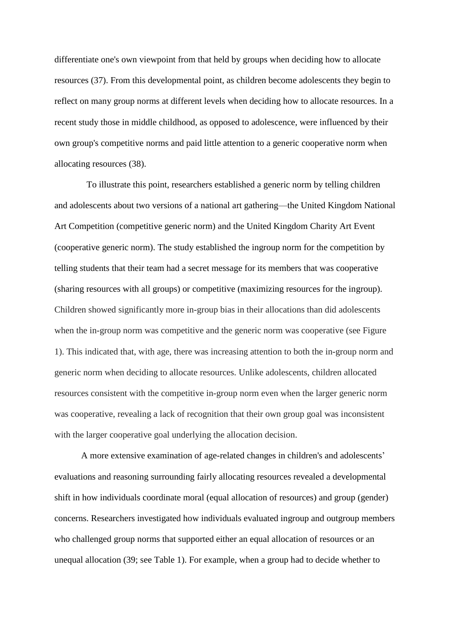differentiate one's own viewpoint from that held by groups when deciding how to allocate resources [\(37\)](#page-18-3). From this developmental point, as children become adolescents they begin to reflect on many group norms at different levels when deciding how to allocate resources. In a recent study those in middle childhood, as opposed to adolescence, were influenced by their own group's competitive norms and paid little attention to a generic cooperative norm when allocating resources [\(38\)](#page-18-4).

To illustrate this point, researchers established a generic norm by telling children and adolescents about two versions of a national art gathering—the United Kingdom National Art Competition (competitive generic norm) and the United Kingdom Charity Art Event (cooperative generic norm). The study established the ingroup norm for the competition by telling students that their team had a secret message for its members that was cooperative (sharing resources with all groups) or competitive (maximizing resources for the ingroup). Children showed significantly more in-group bias in their allocations than did adolescents when the in-group norm was competitive and the generic norm was cooperative (see Figure 1). This indicated that, with age, there was increasing attention to both the in-group norm and generic norm when deciding to allocate resources. Unlike adolescents, children allocated resources consistent with the competitive in-group norm even when the larger generic norm was cooperative, revealing a lack of recognition that their own group goal was inconsistent with the larger cooperative goal underlying the allocation decision.

A more extensive examination of age-related changes in children's and adolescents' evaluations and reasoning surrounding fairly allocating resources revealed a developmental shift in how individuals coordinate moral (equal allocation of resources) and group (gender) concerns. Researchers investigated how individuals evaluated ingroup and outgroup members who challenged group norms that supported either an equal allocation of resources or an unequal allocation [\(39;](#page-19-0) see Table 1). For example, when a group had to decide whether to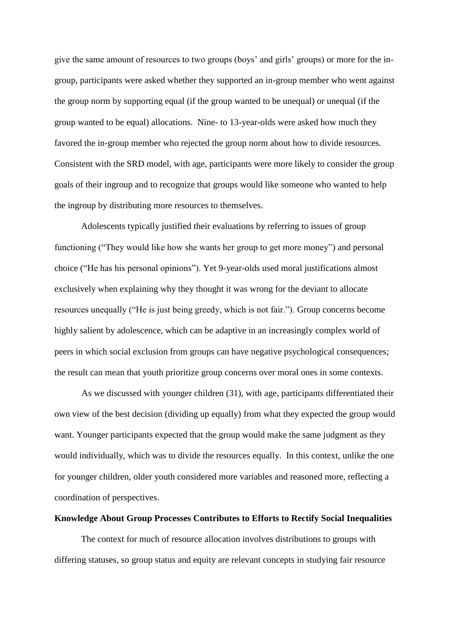give the same amount of resources to two groups (boys' and girls' groups) or more for the ingroup, participants were asked whether they supported an in-group member who went against the group norm by supporting equal (if the group wanted to be unequal) or unequal (if the group wanted to be equal) allocations. Nine- to 13-year-olds were asked how much they favored the in-group member who rejected the group norm about how to divide resources. Consistent with the SRD model, with age, participants were more likely to consider the group goals of their ingroup and to recognize that groups would like someone who wanted to help the ingroup by distributing more resources to themselves.

Adolescents typically justified their evaluations by referring to issues of group functioning ("They would like how she wants her group to get more money") and personal choice ("He has his personal opinions"). Yet 9-year-olds used moral justifications almost exclusively when explaining why they thought it was wrong for the deviant to allocate resources unequally ("He is just being greedy, which is not fair."). Group concerns become highly salient by adolescence, which can be adaptive in an increasingly complex world of peers in which social exclusion from groups can have negative psychological consequences; the result can mean that youth prioritize group concerns over moral ones in some contexts.

As we discussed with younger children (31), with age, participants differentiated their own view of the best decision (dividing up equally) from what they expected the group would want. Younger participants expected that the group would make the same judgment as they would individually, which was to divide the resources equally. In this context, unlike the one for younger children, older youth considered more variables and reasoned more, reflecting a coordination of perspectives.

### **Knowledge About Group Processes Contributes to Efforts to Rectify Social Inequalities**

The context for much of resource allocation involves distributions to groups with differing statuses, so group status and equity are relevant concepts in studying fair resource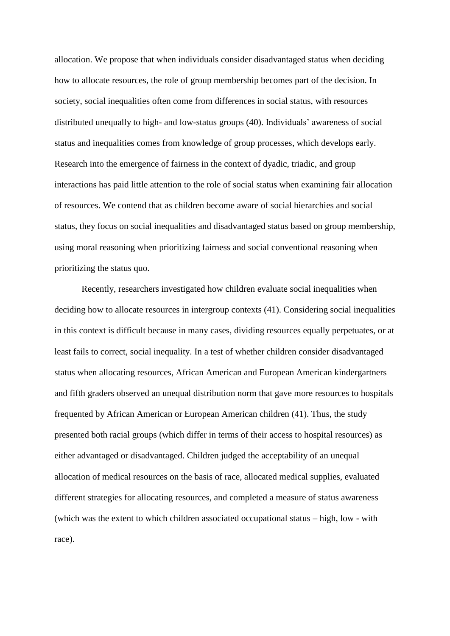allocation. We propose that when individuals consider disadvantaged status when deciding how to allocate resources, the role of group membership becomes part of the decision. In society, social inequalities often come from differences in social status, with resources distributed unequally to high- and low-status groups [\(40\)](#page-19-1). Individuals' awareness of social status and inequalities comes from knowledge of group processes, which develops early. Research into the emergence of fairness in the context of dyadic, triadic, and group interactions has paid little attention to the role of social status when examining fair allocation of resources. We contend that as children become aware of social hierarchies and social status, they focus on social inequalities and disadvantaged status based on group membership, using moral reasoning when prioritizing fairness and social conventional reasoning when prioritizing the status quo.

Recently, researchers investigated how children evaluate social inequalities when deciding how to allocate resources in intergroup contexts [\(41\)](#page-19-2). Considering social inequalities in this context is difficult because in many cases, dividing resources equally perpetuates, or at least fails to correct, social inequality. In a test of whether children consider disadvantaged status when allocating resources, African American and European American kindergartners and fifth graders observed an unequal distribution norm that gave more resources to hospitals frequented by African American or European American children [\(41\)](#page-19-2). Thus, the study presented both racial groups (which differ in terms of their access to hospital resources) as either advantaged or disadvantaged. Children judged the acceptability of an unequal allocation of medical resources on the basis of race, allocated medical supplies, evaluated different strategies for allocating resources, and completed a measure of status awareness (which was the extent to which children associated occupational status – high, low - with race).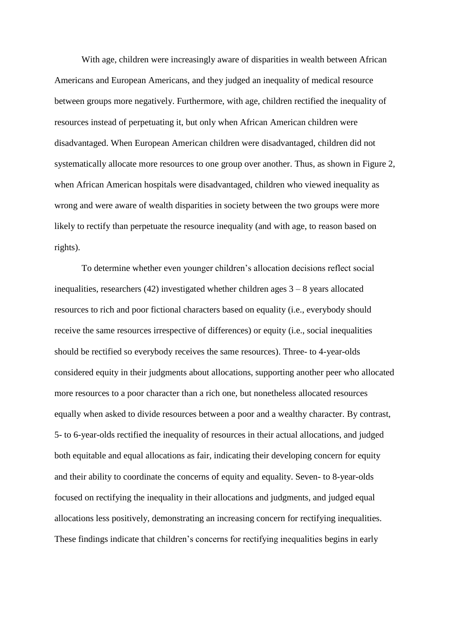With age, children were increasingly aware of disparities in wealth between African Americans and European Americans, and they judged an inequality of medical resource between groups more negatively. Furthermore, with age, children rectified the inequality of resources instead of perpetuating it, but only when African American children were disadvantaged. When European American children were disadvantaged, children did not systematically allocate more resources to one group over another. Thus, as shown in Figure 2, when African American hospitals were disadvantaged, children who viewed inequality as wrong and were aware of wealth disparities in society between the two groups were more likely to rectify than perpetuate the resource inequality (and with age, to reason based on rights).

To determine whether even younger children's allocation decisions reflect social inequalities, researchers  $(42)$  investigated whether children ages  $3 - 8$  years allocated resources to rich and poor fictional characters based on equality (i.e., everybody should receive the same resources irrespective of differences) or equity (i.e., social inequalities should be rectified so everybody receives the same resources). Three- to 4-year-olds considered equity in their judgments about allocations, supporting another peer who allocated more resources to a poor character than a rich one, but nonetheless allocated resources equally when asked to divide resources between a poor and a wealthy character. By contrast, 5- to 6-year-olds rectified the inequality of resources in their actual allocations, and judged both equitable and equal allocations as fair, indicating their developing concern for equity and their ability to coordinate the concerns of equity and equality. Seven- to 8-year-olds focused on rectifying the inequality in their allocations and judgments, and judged equal allocations less positively, demonstrating an increasing concern for rectifying inequalities. These findings indicate that children's concerns for rectifying inequalities begins in early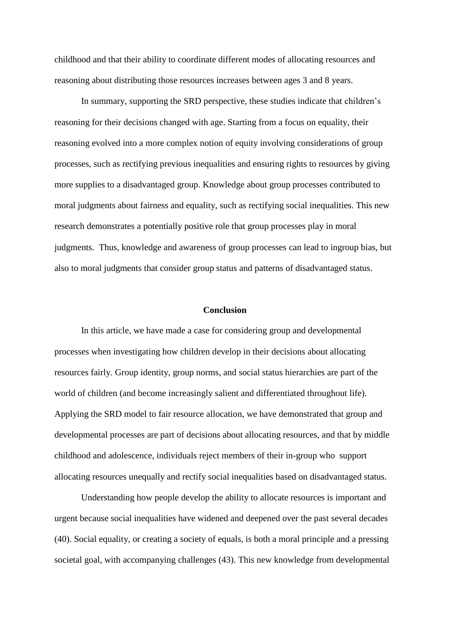childhood and that their ability to coordinate different modes of allocating resources and reasoning about distributing those resources increases between ages 3 and 8 years.

In summary, supporting the SRD perspective, these studies indicate that children's reasoning for their decisions changed with age. Starting from a focus on equality, their reasoning evolved into a more complex notion of equity involving considerations of group processes, such as rectifying previous inequalities and ensuring rights to resources by giving more supplies to a disadvantaged group. Knowledge about group processes contributed to moral judgments about fairness and equality, such as rectifying social inequalities. This new research demonstrates a potentially positive role that group processes play in moral judgments. Thus, knowledge and awareness of group processes can lead to ingroup bias, but also to moral judgments that consider group status and patterns of disadvantaged status.

### **Conclusion**

In this article, we have made a case for considering group and developmental processes when investigating how children develop in their decisions about allocating resources fairly. Group identity, group norms, and social status hierarchies are part of the world of children (and become increasingly salient and differentiated throughout life). Applying the SRD model to fair resource allocation, we have demonstrated that group and developmental processes are part of decisions about allocating resources, and that by middle childhood and adolescence, individuals reject members of their in-group who support allocating resources unequally and rectify social inequalities based on disadvantaged status.

Understanding how people develop the ability to allocate resources is important and urgent because social inequalities have widened and deepened over the past several decades [\(40\)](#page-19-1). Social equality, or creating a society of equals, is both a moral principle and a pressing societal goal, with accompanying challenges [\(43\)](#page-19-4). This new knowledge from developmental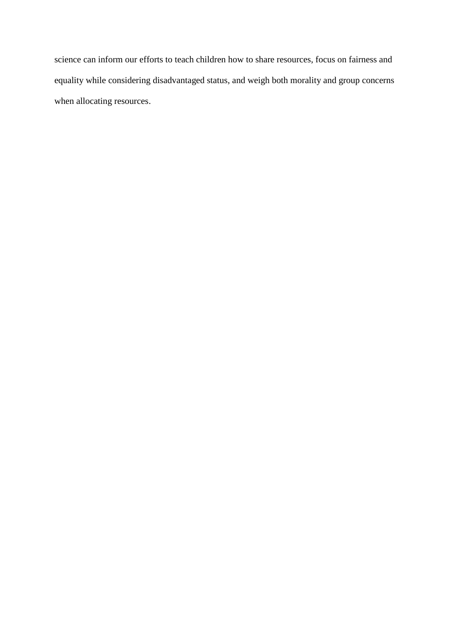science can inform our efforts to teach children how to share resources, focus on fairness and equality while considering disadvantaged status, and weigh both morality and group concerns when allocating resources.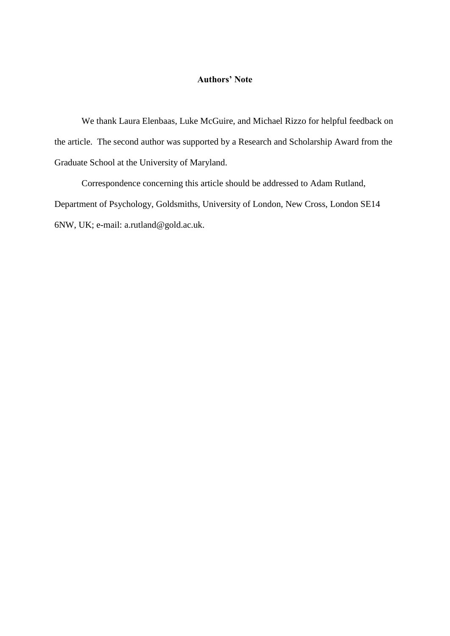## **Authors' Note**

We thank Laura Elenbaas, Luke McGuire, and Michael Rizzo for helpful feedback on the article. The second author was supported by a Research and Scholarship Award from the Graduate School at the University of Maryland.

Correspondence concerning this article should be addressed to Adam Rutland, Department of Psychology, Goldsmiths, University of London, New Cross, London SE14 6NW, UK; e-mail: a.rutland@gold.ac.uk.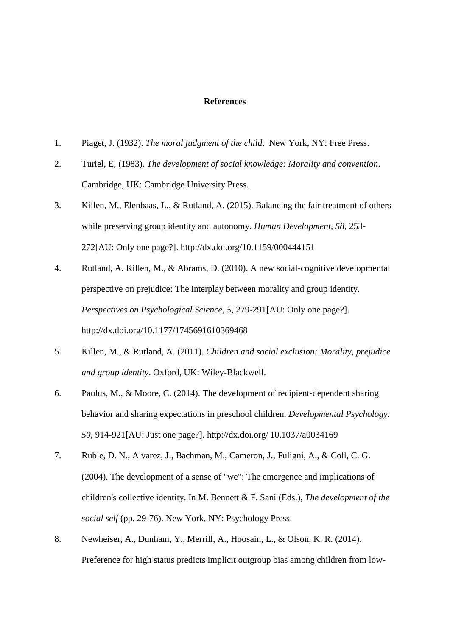### **References**

- <span id="page-14-0"></span>1. Piaget, J. (1932). *The moral judgment of the child*. New York, NY: Free Press.
- <span id="page-14-1"></span>2. Turiel, E, (1983). *The development of social knowledge: Morality and convention*. Cambridge, UK: Cambridge University Press.
- <span id="page-14-2"></span>3. Killen, M., Elenbaas, L., & Rutland, A. (2015). Balancing the fair treatment of others while preserving group identity and autonomy. *Human Development, 58*, 253- 272[AU: Only one page?]. http://dx.doi.org/10.1159/000444151
- <span id="page-14-7"></span>4. Rutland, A. Killen, M., & Abrams, D. (2010). A new social-cognitive developmental perspective on prejudice: The interplay between morality and group identity. *Perspectives on Psychological Science, 5*, 279-291[AU: Only one page?]. http://dx.doi.org/10.1177/1745691610369468
- <span id="page-14-6"></span>5. Killen, M., & Rutland, A. (2011). *Children and social exclusion: Morality, prejudice and group identity*. Oxford, UK: Wiley-Blackwell.
- <span id="page-14-3"></span>6. Paulus, M., & Moore, C. (2014). The development of recipient-dependent sharing behavior and sharing expectations in preschool children. *Developmental Psychology. 50*, 914-921[AU: Just one page?]. http://dx.doi.org/ 10.1037/a0034169
- <span id="page-14-4"></span>7. Ruble, D. N., Alvarez, J., Bachman, M., Cameron, J., Fuligni, A., & Coll, C. G. (2004). The development of a sense of "we": The emergence and implications of children's collective identity. In M. Bennett & F. Sani (Eds.), *The development of the social self* (pp. 29-76). New York, NY: Psychology Press.
- <span id="page-14-5"></span>8. Newheiser, A., Dunham, Y., Merrill, A., Hoosain, L., & Olson, K. R. (2014). Preference for high status predicts implicit outgroup bias among children from low-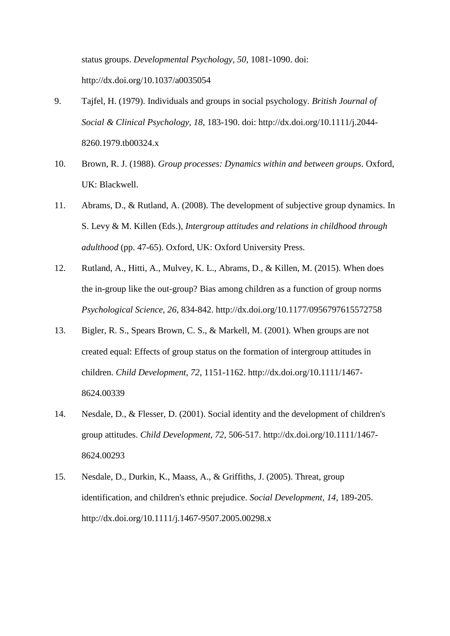status groups. *Developmental Psychology, 50*, 1081-1090. doi: http://dx.doi.org/10.1037/a0035054

- <span id="page-15-0"></span>9. Tajfel, H. (1979). Individuals and groups in social psychology. *British Journal of Social & Clinical Psychology, 18*, 183-190. doi: http://dx.doi.org/10.1111/j.2044- 8260.1979.tb00324.x
- <span id="page-15-1"></span>10. Brown, R. J. (1988). *Group processes: Dynamics within and between groups*. Oxford, UK: Blackwell.
- <span id="page-15-2"></span>11. Abrams, D., & Rutland, A. (2008). The development of subjective group dynamics. In S. Levy & M. Killen (Eds.), *Intergroup attitudes and relations in childhood through adulthood* (pp. 47-65). Oxford, UK: Oxford University Press.
- <span id="page-15-3"></span>12. Rutland, A., Hitti, A., Mulvey, K. L., Abrams, D., & Killen, M. (2015). When does the in-group like the out-group? Bias among children as a function of group norms *Psychological Science, 26*, 834-842. http://dx.doi.org/10.1177/0956797615572758
- <span id="page-15-4"></span>13. Bigler, R. S., Spears Brown, C. S., & Markell, M. (2001). When groups are not created equal: Effects of group status on the formation of intergroup attitudes in children. *Child Development, 72*, 1151-1162. http://dx.doi.org/10.1111/1467- 8624.00339
- <span id="page-15-5"></span>14. Nesdale, D., & Flesser, D. (2001). Social identity and the development of children's group attitudes. *Child Development, 72*, 506-517. http://dx.doi.org/10.1111/1467- 8624.00293
- <span id="page-15-6"></span>15. Nesdale, D., Durkin, K., Maass, A., & Griffiths, J. (2005). Threat, group identification, and children's ethnic prejudice. *Social Development, 14*, 189-205. http://dx.doi.org/10.1111/j.1467-9507.2005.00298.x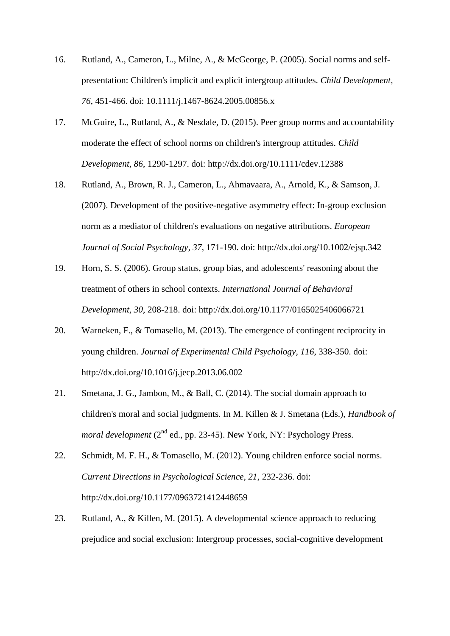- <span id="page-16-0"></span>16. Rutland, A., Cameron, L., Milne, A., & McGeorge, P. (2005). Social norms and selfpresentation: Children's implicit and explicit intergroup attitudes. *Child Development, 76*, 451-466. doi: 10.1111/j.1467-8624.2005.00856.x
- 17. McGuire, L., Rutland, A., & Nesdale, D. (2015). Peer group norms and accountability moderate the effect of school norms on children's intergroup attitudes. *Child Development, 86*, 1290-1297. doi: http://dx.doi.org/10.1111/cdev.12388
- 18. Rutland, A., Brown, R. J., Cameron, L., Ahmavaara, A., Arnold, K., & Samson, J. (2007). Development of the positive-negative asymmetry effect: In-group exclusion norm as a mediator of children's evaluations on negative attributions. *European Journal of Social Psychology, 37*, 171-190. doi: http://dx.doi.org/10.1002/ejsp.342
- <span id="page-16-1"></span>19. Horn, S. S. (2006). Group status, group bias, and adolescents' reasoning about the treatment of others in school contexts. *International Journal of Behavioral Development, 30*, 208-218. doi: http://dx.doi.org/10.1177/0165025406066721
- <span id="page-16-2"></span>20. Warneken, F., & Tomasello, M. (2013). The emergence of contingent reciprocity in young children. *Journal of Experimental Child Psychology, 116*, 338-350. doi: http://dx.doi.org/10.1016/j.jecp.2013.06.002
- <span id="page-16-3"></span>21. Smetana, J. G., Jambon, M., & Ball, C. (2014). The social domain approach to children's moral and social judgments. In M. Killen & J. Smetana (Eds.), *Handbook of moral development* (2<sup>nd</sup> ed., pp. 23-45). New York, NY: Psychology Press.
- <span id="page-16-4"></span>22. Schmidt, M. F. H., & Tomasello, M. (2012). Young children enforce social norms. *Current Directions in Psychological Science, 21*, 232-236. doi: http://dx.doi.org/10.1177/0963721412448659
- <span id="page-16-5"></span>23. Rutland, A., & Killen, M. (2015). A developmental science approach to reducing prejudice and social exclusion: Intergroup processes, social-cognitive development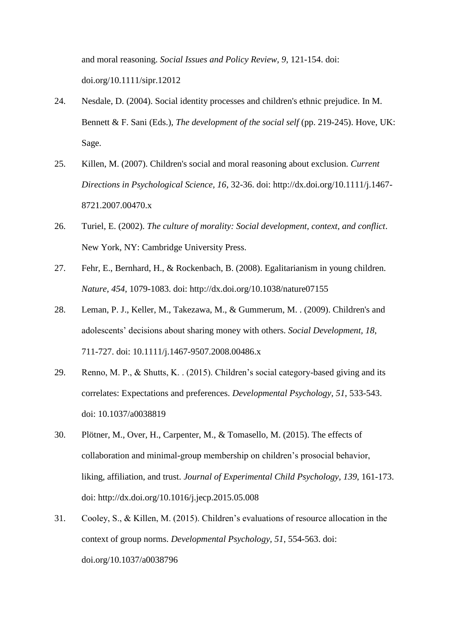and moral reasoning. *Social Issues and Policy Review, 9*, 121-154. doi: doi.org/10.1111/sipr.12012

- <span id="page-17-0"></span>24. Nesdale, D. (2004). Social identity processes and children's ethnic prejudice. In M. Bennett & F. Sani (Eds.), *The development of the social self* (pp. 219-245). Hove, UK: Sage.
- <span id="page-17-1"></span>25. Killen, M. (2007). Children's social and moral reasoning about exclusion. *Current Directions in Psychological Science, 16*, 32-36. doi: http://dx.doi.org/10.1111/j.1467- 8721.2007.00470.x
- <span id="page-17-2"></span>26. Turiel, E. (2002). *The culture of morality: Social development, context, and conflict*. New York, NY: Cambridge University Press.
- <span id="page-17-3"></span>27. Fehr, E., Bernhard, H., & Rockenbach, B. (2008). Egalitarianism in young children. *Nature, 454*, 1079-1083. doi: http://dx.doi.org/10.1038/nature07155
- 28. Leman, P. J., Keller, M., Takezawa, M., & Gummerum, M. . (2009). Children's and adolescents' decisions about sharing money with others. *Social Development, 18*, 711-727. doi: 10.1111/j.1467-9507.2008.00486.x
- 29. Renno, M. P., & Shutts, K. . (2015). Children's social category-based giving and its correlates: Expectations and preferences. *Developmental Psychology, 51*, 533-543. doi: 10.1037/a0038819
- 30. Plötner, M., Over, H., Carpenter, M., & Tomasello, M. (2015). The effects of collaboration and minimal-group membership on children's prosocial behavior, liking, affiliation, and trust. *Journal of Experimental Child Psychology, 139*, 161-173. doi: http://dx.doi.org/10.1016/j.jecp.2015.05.008
- <span id="page-17-4"></span>31. Cooley, S., & Killen, M. (2015). Children's evaluations of resource allocation in the context of group norms. *Developmental Psychology, 51*, 554-563. doi: doi.org/10.1037/a0038796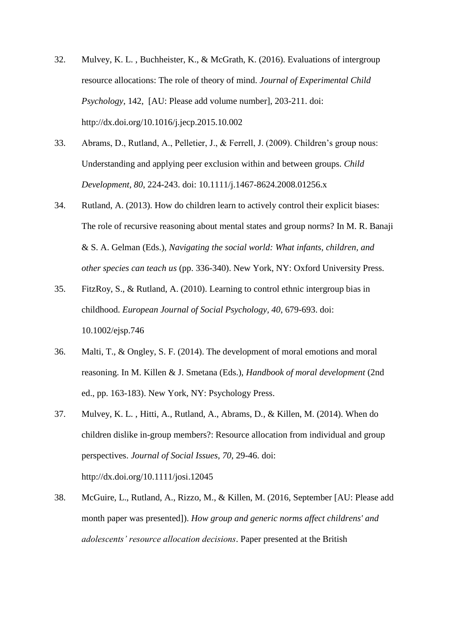- <span id="page-18-0"></span>32. Mulvey, K. L. , Buchheister, K., & McGrath, K. (2016). Evaluations of intergroup resource allocations: The role of theory of mind. *Journal of Experimental Child Psychology*, 142, [AU: Please add volume number], 203-211. doi: http://dx.doi.org/10.1016/j.jecp.2015.10.002
- <span id="page-18-1"></span>33. Abrams, D., Rutland, A., Pelletier, J., & Ferrell, J. (2009). Children's group nous: Understanding and applying peer exclusion within and between groups. *Child Development, 80*, 224-243. doi: 10.1111/j.1467-8624.2008.01256.x
- 34. Rutland, A. (2013). How do children learn to actively control their explicit biases: The role of recursive reasoning about mental states and group norms? In M. R. Banaji & S. A. Gelman (Eds.), *Navigating the social world: What infants, children, and other species can teach us* (pp. 336-340). New York, NY: Oxford University Press.
- 35. FitzRoy, S., & Rutland, A. (2010). Learning to control ethnic intergroup bias in childhood. *European Journal of Social Psychology, 40*, 679-693. doi: 10.1002/ejsp.746
- <span id="page-18-2"></span>36. Malti, T., & Ongley, S. F. (2014). The development of moral emotions and moral reasoning. In M. Killen & J. Smetana (Eds.), *Handbook of moral development* (2nd ed., pp. 163-183). New York, NY: Psychology Press.
- <span id="page-18-3"></span>37. Mulvey, K. L. , Hitti, A., Rutland, A., Abrams, D., & Killen, M. (2014). When do children dislike in-group members?: Resource allocation from individual and group perspectives. *Journal of Social Issues, 70*, 29-46. doi: http://dx.doi.org/10.1111/josi.12045
- <span id="page-18-4"></span>38. McGuire, L., Rutland, A., Rizzo, M., & Killen, M. (2016, September [AU: Please add month paper was presented]). *How group and generic norms affect childrens' and adolescents' resource allocation decisions*. Paper presented at the British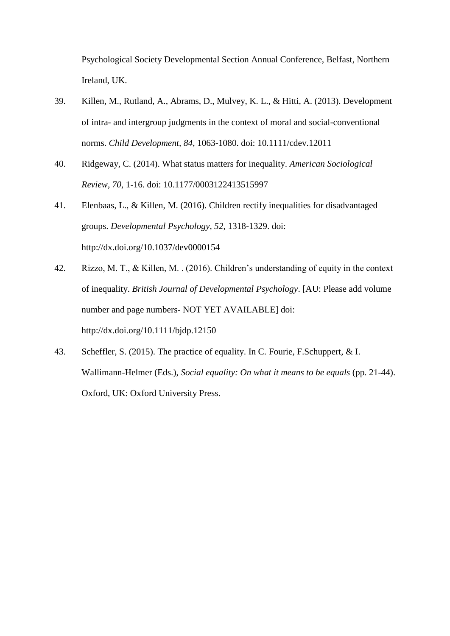Psychological Society Developmental Section Annual Conference, Belfast, Northern Ireland, UK.

- <span id="page-19-0"></span>39. Killen, M., Rutland, A., Abrams, D., Mulvey, K. L., & Hitti, A. (2013). Development of intra- and intergroup judgments in the context of moral and social-conventional norms. *Child Development, 84*, 1063-1080. doi: 10.1111/cdev.12011
- <span id="page-19-1"></span>40. Ridgeway, C. (2014). What status matters for inequality. *American Sociological Review, 70*, 1-16. doi: 10.1177/0003122413515997
- <span id="page-19-2"></span>41. Elenbaas, L., & Killen, M. (2016). Children rectify inequalities for disadvantaged groups. *Developmental Psychology, 52*, 1318-1329. doi: http://dx.doi.org/10.1037/dev0000154
- <span id="page-19-3"></span>42. Rizzo, M. T., & Killen, M. . (2016). Children's understanding of equity in the context of inequality. *British Journal of Developmental Psychology*. [AU: Please add volume number and page numbers- NOT YET AVAILABLE] doi: http://dx.doi.org/10.1111/bjdp.12150
- <span id="page-19-4"></span>43. Scheffler, S. (2015). The practice of equality. In C. Fourie, F.Schuppert, & I. Wallimann-Helmer (Eds.), *Social equality: On what it means to be equals* (pp. 21-44). Oxford, UK: Oxford University Press.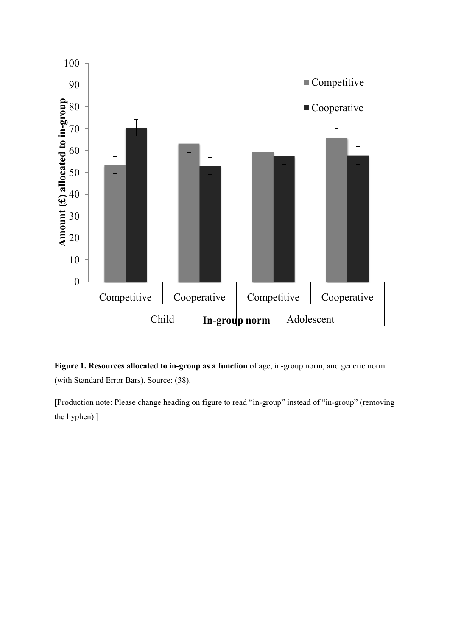



[Production note: Please change heading on figure to read "in-group" instead of "in-group" (removing the hyphen).]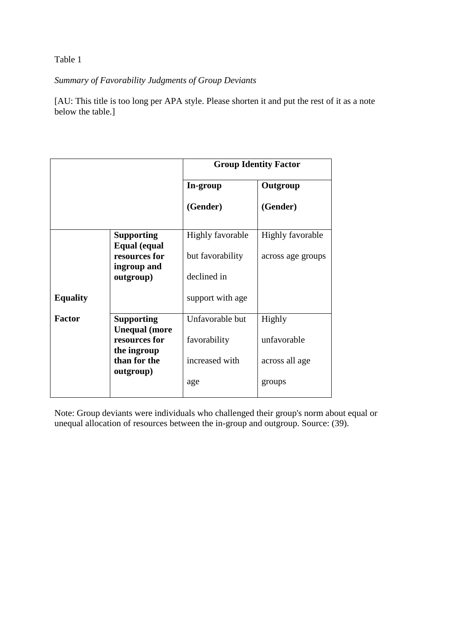## Table 1

# *Summary of Favorability Judgments of Group Deviants*

[AU: This title is too long per APA style. Please shorten it and put the rest of it as a note below the table.]

|                 |                                                      | <b>Group Identity Factor</b> |                         |
|-----------------|------------------------------------------------------|------------------------------|-------------------------|
|                 |                                                      | In-group                     | Outgroup                |
|                 |                                                      | (Gender)                     | (Gender)                |
|                 | <b>Supporting</b>                                    | <b>Highly favorable</b>      | <b>Highly favorable</b> |
|                 | Equal (equal<br>resources for<br>ingroup and         | but favorability             | across age groups       |
|                 | outgroup)                                            | declined in                  |                         |
| <b>Equality</b> |                                                      | support with age             |                         |
| <b>Factor</b>   | <b>Supporting</b>                                    | Unfavorable but              | Highly                  |
|                 | <b>Unequal</b> (more<br>resources for<br>the ingroup | favorability                 | unfavorable             |
|                 | than for the<br>outgroup)                            | increased with               | across all age          |
|                 |                                                      | age                          | groups                  |

Note: Group deviants were individuals who challenged their group's norm about equal or unequal allocation of resources between the in-group and outgroup. Source: (39).